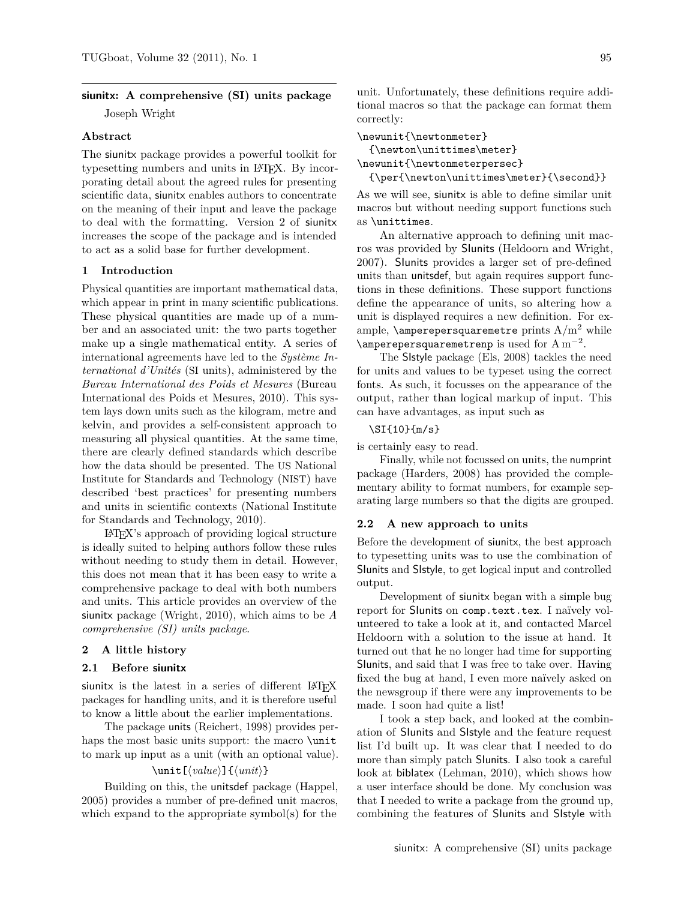# **siunitx: A comprehensive (SI) units package** Joseph Wright

#### **Abstract**

The siunitx package provides a powerful toolkit for typesetting numbers and units in LATEX. By incorporating detail about the agreed rules for presenting scientific data, siunitx enables authors to concentrate on the meaning of their input and leave the package to deal with the formatting. Version 2 of siunitx increases the scope of the package and is intended to act as a solid base for further development.

### **1 Introduction**

Physical quantities are important mathematical data, which appear in print in many scientific publications. These physical quantities are made up of a number and an associated unit: the two parts together make up a single mathematical entity. A series of international agreements have led to the *Système International d'Unités* (SI units), administered by the *Bureau International des Poids et Mesures* [\(Bureau](#page-3-0) [International des Poids et Mesures, 2010\)](#page-3-0). This system lays down units such as the kilogram, metre and kelvin, and provides a self-consistent approach to measuring all physical quantities. At the same time, there are clearly defined standards which describe how the data should be presented. The US National Institute for Standards and Technology (NIST) have described 'best practices' for presenting numbers and units in scientific contexts [\(National Institute](#page-3-1) [for Standards and Technology, 2010\)](#page-3-1).

LATEX's approach of providing logical structure is ideally suited to helping authors follow these rules without needing to study them in detail. However, this does not mean that it has been easy to write a comprehensive package to deal with both numbers and units. This article provides an overview of the siunitx package [\(Wright, 2010\)](#page-3-2), which aims to be *A comprehensive (SI) units package*.

### **2 A little history**

#### **2.1 Before siunitx**

siunitx is the latest in a series of different LAT<sub>EX</sub> packages for handling units, and it is therefore useful to know a little about the earlier implementations.

The package units [\(Reichert, 1998\)](#page-3-3) provides perhaps the most basic units support: the macro **\unit** to mark up input as a unit (with an optional value).

### $\u\nu$ it $[\langle value \rangle] {\langle unit \rangle}$

Building on this, the unitsdef package [\(Happel,](#page-3-4) [2005\)](#page-3-4) provides a number of pre-defined unit macros, which expand to the appropriate symbol(s) for the

unit. Unfortunately, these definitions require additional macros so that the package can format them correctly:

```
\newunit{\newtonmeter}
 {\newton\unittimes\meter}
```

```
\newunit{\newtonmeterpersec}
```
 ${\per{\\newton\unitlines{\n 1}}$ 

As we will see, siunitx is able to define similar unit macros but without needing support functions such as \unittimes.

An alternative approach to defining unit macros was provided by SIunits [\(Heldoorn and Wright,](#page-3-5) [2007\)](#page-3-5). SIunits provides a larger set of pre-defined units than unitsdef, but again requires support functions in these definitions. These support functions define the appearance of units, so altering how a unit is displayed requires a new definition. For example, \amperepersquaremetre prints A*/*m<sup>2</sup> while  $\langle$ amperepersquaremetrenp is used for Am<sup>-2</sup>.

The SIstyle package [\(Els, 2008\)](#page-3-6) tackles the need for units and values to be typeset using the correct fonts. As such, it focusses on the appearance of the output, rather than logical markup of input. This can have advantages, as input such as

#### \SI{10}{m/s}

is certainly easy to read.

Finally, while not focussed on units, the numprint package [\(Harders, 2008\)](#page-3-7) has provided the complementary ability to format numbers, for example separating large numbers so that the digits are grouped.

#### **2.2 A new approach to units**

Before the development of siunitx, the best approach to typesetting units was to use the combination of SIunits and SIstyle, to get logical input and controlled output.

Development of siunitx began with a simple bug report for SIunits on [comp.text.tex](http://groups.google.com/group/comp.tex.tex). I naïvely volunteered to take a look at it, and contacted Marcel Heldoorn with a solution to the issue at hand. It turned out that he no longer had time for supporting SIunits, and said that I was free to take over. Having fixed the bug at hand, I even more naïvely asked on the newsgroup if there were any improvements to be made. I soon had quite a list!

I took a step back, and looked at the combination of SIunits and SIstyle and the feature request list I'd built up. It was clear that I needed to do more than simply patch SIunits. I also took a careful look at biblatex [\(Lehman, 2010\)](#page-3-8), which shows how a user interface should be done. My conclusion was that I needed to write a package from the ground up, combining the features of SIunits and SIstyle with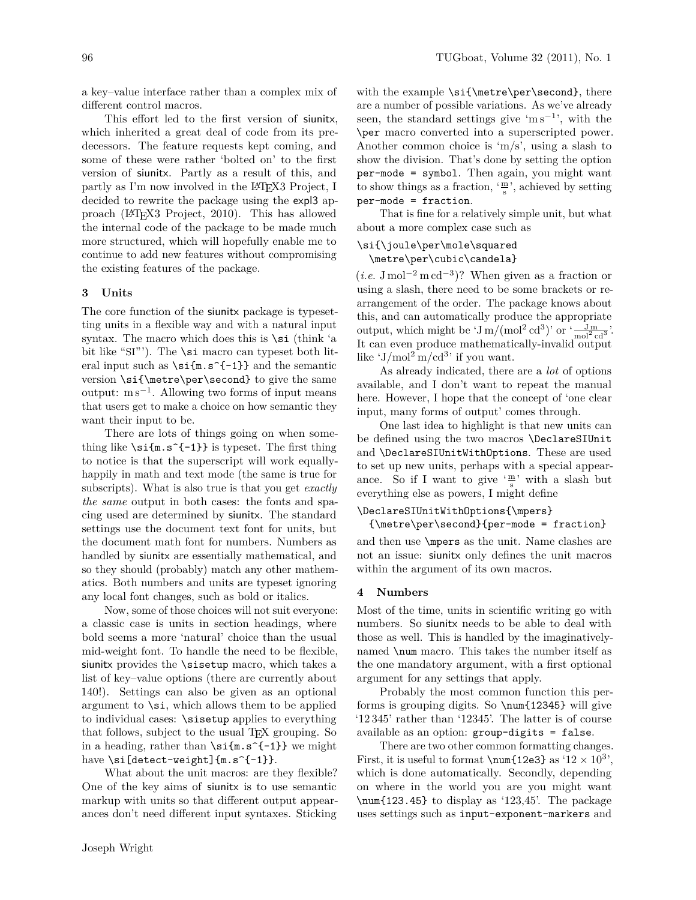a key–value interface rather than a complex mix of different control macros.

This effort led to the first version of siunitx, which inherited a great deal of code from its predecessors. The feature requests kept coming, and some of these were rather 'bolted on' to the first version of siunitx. Partly as a result of this, and partly as I'm now involved in the LATEX3 Project, I decided to rewrite the package using the expl3 approach (LA[TEX3 Project, 2010\)](#page-3-9). This has allowed the internal code of the package to be made much more structured, which will hopefully enable me to continue to add new features without compromising the existing features of the package.

#### **3 Units**

The core function of the siunitx package is typesetting units in a flexible way and with a natural input syntax. The macro which does this is  $\succeq$  (think 'a bit like "SI"'). The \si macro can typeset both literal input such as  $\si{m.s^{-1}}$  and the semantic version \si{\metre\per\second} to give the same output: m s<sup>−</sup><sup>1</sup> . Allowing two forms of input means that users get to make a choice on how semantic they want their input to be.

There are lots of things going on when something like  $\simeq$   $\{ -1\}$  is typeset. The first thing to notice is that the superscript will work equallyhappily in math and text mode (the same is true for subscripts). What is also true is that you get *exactly the same* output in both cases: the fonts and spacing used are determined by siunitx. The standard settings use the document text font for units, but the document math font for numbers. Numbers as handled by siunitx are essentially mathematical, and so they should (probably) match any other mathematics. Both numbers and units are typeset ignoring any local font changes, such as bold or italics.

Now, some of those choices will not suit everyone: a classic case is units in section headings, where bold seems a more 'natural' choice than the usual mid-weight font. To handle the need to be flexible, siunitx provides the \sisetup macro, which takes a list of key–value options (there are currently about 140!). Settings can also be given as an optional argument to \si, which allows them to be applied to individual cases: \sisetup applies to everything that follows, subject to the usual TEX grouping. So in a heading, rather than  $\si{m.s^{-1}}$  we might have \si[detect-weight]{m.s^{-1}}.

What about the unit macros: are they flexible? One of the key aims of siunitx is to use semantic markup with units so that different output appearances don't need different input syntaxes. Sticking

with the example \si{\metre\per\second}, there are a number of possible variations. As we've already seen, the standard settings give 'm  $s^{-1}$ ', with the \per macro converted into a superscripted power. Another common choice is 'm*/*s', using a slash to show the division. That's done by setting the option per-mode = symbol. Then again, you might want to show things as a fraction,  $\frac{m}{s}$ , achieved by setting per-mode = fraction.

That is fine for a relatively simple unit, but what about a more complex case such as

## \si{\joule\per\mole\squared \metre\per\cubic\candela}

 $(i.e. J\,mol^{-2} \,m\,cd^{-3})$ ? When given as a fraction or using a slash, there need to be some brackets or rearrangement of the order. The package knows about this, and can automatically produce the appropriate output, which might be ' $\frac{J \text{m}}{2}$  (mol<sup>2</sup> cd<sup>3</sup>)' or  $\frac{J \text{m}}{\text{mol}^2 \text{cd}^3}$ '. It can even produce mathematically-invalid output like  $\frac{1}{\text{mol}^2 \text{m}}$  /cd<sup>3</sup> if you want.

As already indicated, there are a *lot* of options available, and I don't want to repeat the manual here. However, I hope that the concept of 'one clear input, many forms of output' comes through.

One last idea to highlight is that new units can be defined using the two macros \DeclareSIUnit and \DeclareSIUnitWithOptions. These are used to set up new units, perhaps with a special appearance. So if I want to give  $\frac{m}{s}$  with a slash but everything else as powers, I might define

## \DeclareSIUnitWithOptions{\mpers}

```
{\metre\per\second}{per-mode = fraction}
```
and then use \mpers as the unit. Name clashes are not an issue: siunitx only defines the unit macros within the argument of its own macros.

## **4 Numbers**

Most of the time, units in scientific writing go with numbers. So siunitx needs to be able to deal with those as well. This is handled by the imaginativelynamed \num macro. This takes the number itself as the one mandatory argument, with a first optional argument for any settings that apply.

Probably the most common function this performs is grouping digits. So \num{12345} will give '12 345' rather than '12345'. The latter is of course available as an option: group-digits = false.

There are two other common formatting changes. First, it is useful to format  $\num{12e3}$  as ' $12 \times 10^3$ ', which is done automatically. Secondly, depending on where in the world you are you might want \num{123.45} to display as '123*,*45'. The package uses settings such as input-exponent-markers and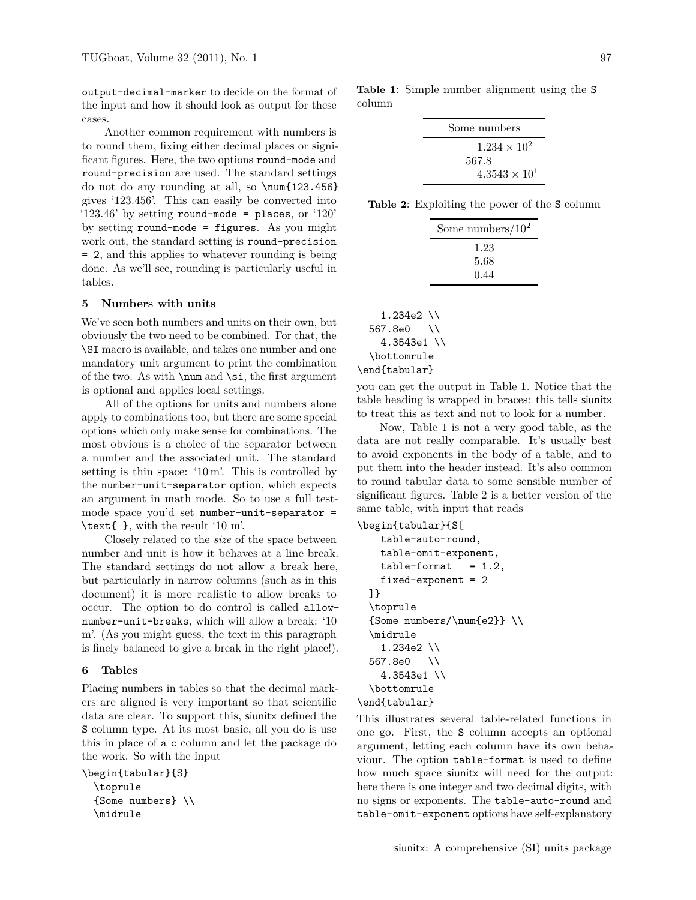output-decimal-marker to decide on the format of the input and how it should look as output for these cases.

Another common requirement with numbers is to round them, fixing either decimal places or significant figures. Here, the two options round-mode and round-precision are used. The standard settings do not do any rounding at all, so \num{123.456} gives '123*.*456'. This can easily be converted into '123.46' by setting round-mode = places, or '120' by setting round-mode = figures. As you might work out, the standard setting is round-precision = 2, and this applies to whatever rounding is being done. As we'll see, rounding is particularly useful in tables.

#### **5 Numbers with units**

We've seen both numbers and units on their own, but obviously the two need to be combined. For that, the \SI macro is available, and takes one number and one mandatory unit argument to print the combination of the two. As with  $\num$  and  $\si$ , the first argument is optional and applies local settings.

All of the options for units and numbers alone apply to combinations too, but there are some special options which only make sense for combinations. The most obvious is a choice of the separator between a number and the associated unit. The standard setting is thin space: '10 m'. This is controlled by the number-unit-separator option, which expects an argument in math mode. So to use a full testmode space you'd set number-unit-separator = \text{ }, with the result '10 m'.

Closely related to the *size* of the space between number and unit is how it behaves at a line break. The standard settings do not allow a break here, but particularly in narrow columns (such as in this document) it is more realistic to allow breaks to occur. The option to do control is called allownumber-unit-breaks, which will allow a break: '10 m'. (As you might guess, the text in this paragraph is finely balanced to give a break in the right place!).

#### **6 Tables**

Placing numbers in tables so that the decimal markers are aligned is very important so that scientific data are clear. To support this, siunitx defined the S column type. At its most basic, all you do is use this in place of a c column and let the package do the work. So with the input

\begin{tabular}{S} \toprule {Some numbers} \\ \midrule

<span id="page-2-0"></span>**Table 1**: Simple number alignment using the S column

<span id="page-2-1"></span>**Table 2**: Exploiting the power of the S column

| Some numbers/ $10^2$ |
|----------------------|
| 1.23                 |
| 5.68                 |
| 0.44                 |

| $1.234e2$ \\  |  |  |
|---------------|--|--|
| 567.8e0<br>∖∖ |  |  |
| $4.3543e1$ \\ |  |  |
| \bottomrule   |  |  |
| \end{tabular} |  |  |

you can get the output in Table [1.](#page-2-0) Notice that the table heading is wrapped in braces: this tells siunitx to treat this as text and not to look for a number.

Now, Table [1](#page-2-0) is not a very good table, as the data are not really comparable. It's usually best to avoid exponents in the body of a table, and to put them into the header instead. It's also common to round tabular data to some sensible number of significant figures. Table [2](#page-2-1) is a better version of the same table, with input that reads

\begin{tabular}{S[

```
table-auto-round,
   table-omit-exponent,
   table-format = 1.2,
   fixed-exponent = 2
 ]}
 \toprule
 {Some numbers/\num{e2}} \\
  \midrule
   1.234e2 \\
 567.8e0 \\
   4.3543e1 \\
 \bottomrule
\end{tabular}
```
This illustrates several table-related functions in one go. First, the S column accepts an optional argument, letting each column have its own behaviour. The option table-format is used to define how much space siunitx will need for the output: here there is one integer and two decimal digits, with no signs or exponents. The table-auto-round and table-omit-exponent options have self-explanatory